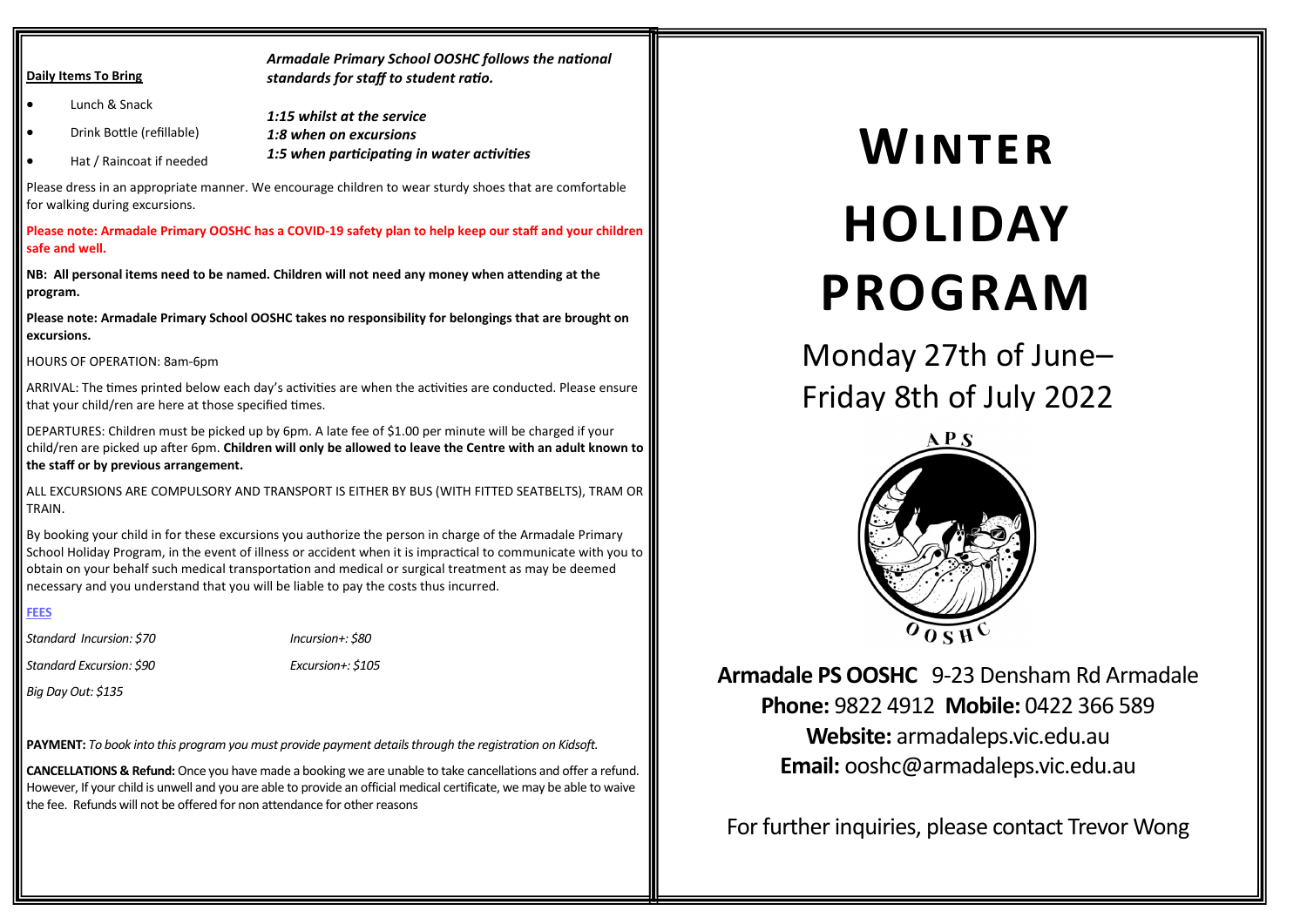#### **Daily Items To Bring**

*Armadale Primary School OOSHC follows the national standards for staff to student ratio.*

- Lunch & Snack *1:15 whilst at the service*
	- Drink Bottle (refillable) *1:8 when on excursions*
- Hat / Raincoat if needed *1:5 when participating in water activities*

Please dress in an appropriate manner. We encourage children to wear sturdy shoes that are comfortable for walking during excursions.

**Please note: Armadale Primary OOSHC has a COVID-19 safety plan to help keep our staff and your children safe and well.**

**NB: All personal items need to be named. Children will not need any money when attending at the program.** 

**Please note: Armadale Primary School OOSHC takes no responsibility for belongings that are brought on excursions.** 

HOURS OF OPERATION: 8am-6pm

ARRIVAL: The times printed below each day's activities are when the activities are conducted. Please ensure that your child/ren are here at those specified times.

DEPARTURES: Children must be picked up by 6pm. A late fee of \$1.00 per minute will be charged if your child/ren are picked up after 6pm. **Children will only be allowed to leave the Centre with an adult known to the staff or by previous arrangement.**

ALL EXCURSIONS ARE COMPULSORY AND TRANSPORT IS EITHER BY BUS (WITH FITTED SEATBELTS), TRAM OR TRAIN.

By booking your child in for these excursions you authorize the person in charge of the Armadale Primary School Holiday Program, in the event of illness or accident when it is impractical to communicate with you to obtain on your behalf such medical transportation and medical or surgical treatment as may be deemed necessary and you understand that you will be liable to pay the costs thus incurred.

#### **FEES**

*Standard Incursion: \$70 Incursion+: \$80*

*Standard Excursion: \$90 Excursion+: \$105* 

*Big Day Out: \$135* 

**PAYMENT:** *To book into this program you must provide payment details through the registration on Kidsoft.*

**CANCELLATIONS & Refund:** Once you have made a booking we are unable to take cancellations and offer a refund. However, If your child is unwell and you are able to provide an official medical certificate, we may be able to waive the fee. Refunds will not be offered for non attendance for other reasons

# **Winter HOLIDAY PROGRAM**

Monday 27th of June– Friday 8th of July 2022



**Armadale PS OOSHC** 9-23 Densham Rd Armadale **Phone:** 9822 4912 **Mobile:** 0422 366 589 **Website:** armadaleps.vic.edu.au **Email:** ooshc@armadaleps.vic.edu.au

For further inquiries, please contact Trevor Wong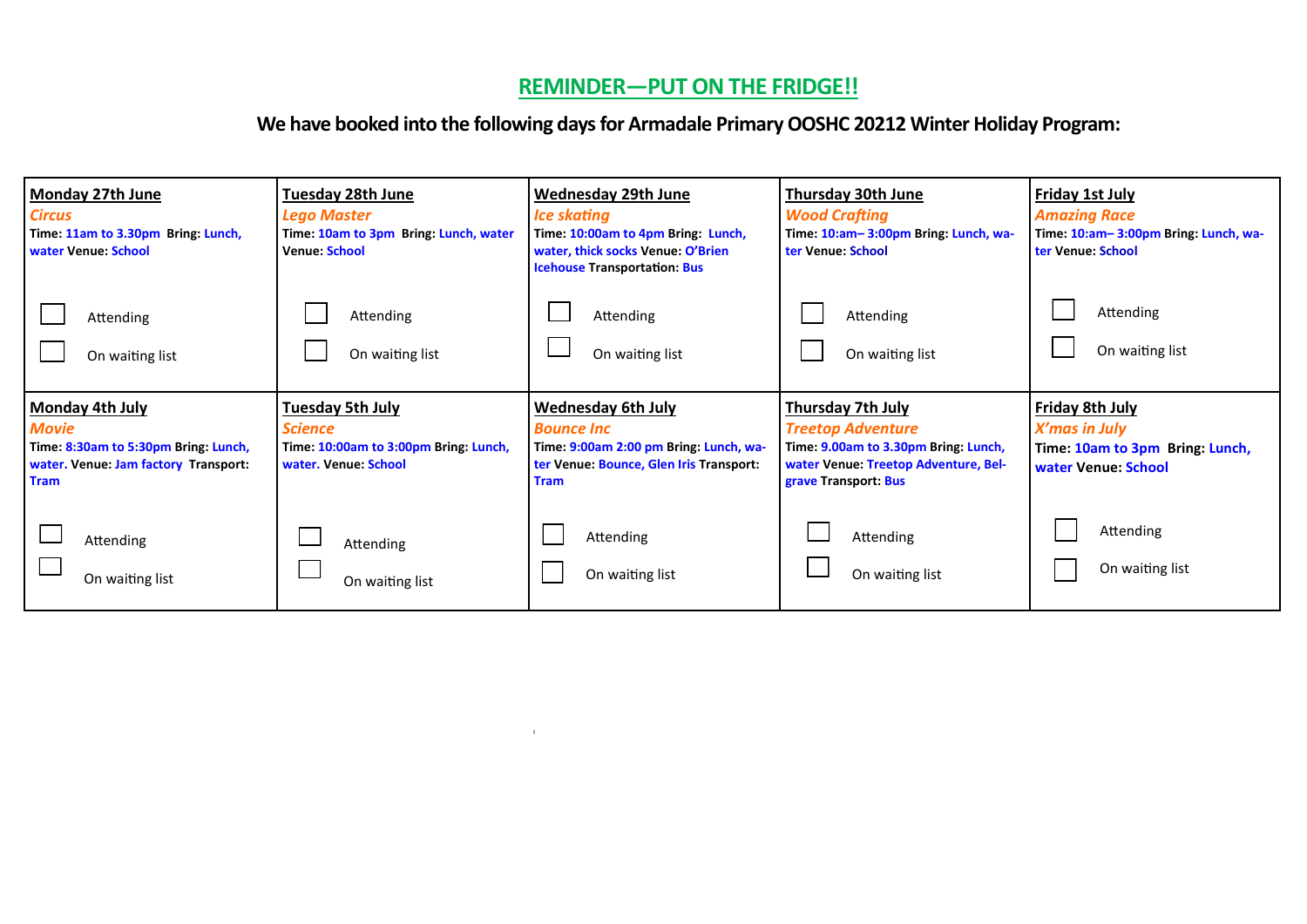# **REMINDER—PUT ON THE FRIDGE!!**

## **We have booked into the following days for Armadale Primary OOSHC 20212 Winter Holiday Program:**

| Monday 27th June<br><b>Circus</b><br>Time: 11am to 3.30pm Bring: Lunch,<br>water Venue: School                                        | <b>Tuesday 28th June</b><br><b>Lego Master</b><br>Time: 10am to 3pm Bring: Lunch, water<br><b>Venue: School</b> | <b>Wednesday 29th June</b><br><b>Ice skating</b><br>Time: 10:00am to 4pm Bring: Lunch,<br>water, thick socks Venue: O'Brien<br><b>Icehouse Transportation: Bus</b> | <b>Thursday 30th June</b><br><b>Wood Crafting</b><br>Time: 10:am-3:00pm Bring: Lunch, wa-<br>ter Venue: School                                               | Friday 1st July<br><b>Amazing Race</b><br>Time: 10:am-3:00pm Bring: Lunch, wa-<br>ter Venue: School |
|---------------------------------------------------------------------------------------------------------------------------------------|-----------------------------------------------------------------------------------------------------------------|--------------------------------------------------------------------------------------------------------------------------------------------------------------------|--------------------------------------------------------------------------------------------------------------------------------------------------------------|-----------------------------------------------------------------------------------------------------|
| Attending                                                                                                                             | Attending                                                                                                       | Attending                                                                                                                                                          | Attending                                                                                                                                                    | Attending                                                                                           |
| On waiting list                                                                                                                       | On waiting list                                                                                                 | On waiting list                                                                                                                                                    | On waiting list                                                                                                                                              | On waiting list                                                                                     |
| <b>Monday 4th July</b><br><b>Movie</b><br>Time: 8:30am to 5:30pm Bring: Lunch,<br>water. Venue: Jam factory Transport:<br><b>Tram</b> | <b>Tuesday 5th July</b><br><b>Science</b><br>Time: 10:00am to 3:00pm Bring: Lunch,<br>water. Venue: School      | <b>Wednesday 6th July</b><br><b>Bounce Inc</b><br>Time: 9:00am 2:00 pm Bring: Lunch, wa-<br>ter Venue: Bounce, Glen Iris Transport:<br><b>Tram</b>                 | <b>Thursday 7th July</b><br><b>Treetop Adventure</b><br>Time: 9.00am to 3.30pm Bring: Lunch,<br>water Venue: Treetop Adventure, Bel-<br>grave Transport: Bus | Friday 8th July<br>X'mas in July<br>Time: 10am to 3pm Bring: Lunch,<br>water Venue: School          |
| Attending                                                                                                                             | Attending                                                                                                       | Attending                                                                                                                                                          | Attending                                                                                                                                                    | Attending                                                                                           |
| On waiting list                                                                                                                       | On waiting list                                                                                                 | On waiting list                                                                                                                                                    | On waiting list                                                                                                                                              | On waiting list                                                                                     |

 $\mathbf{u}^{\dagger}$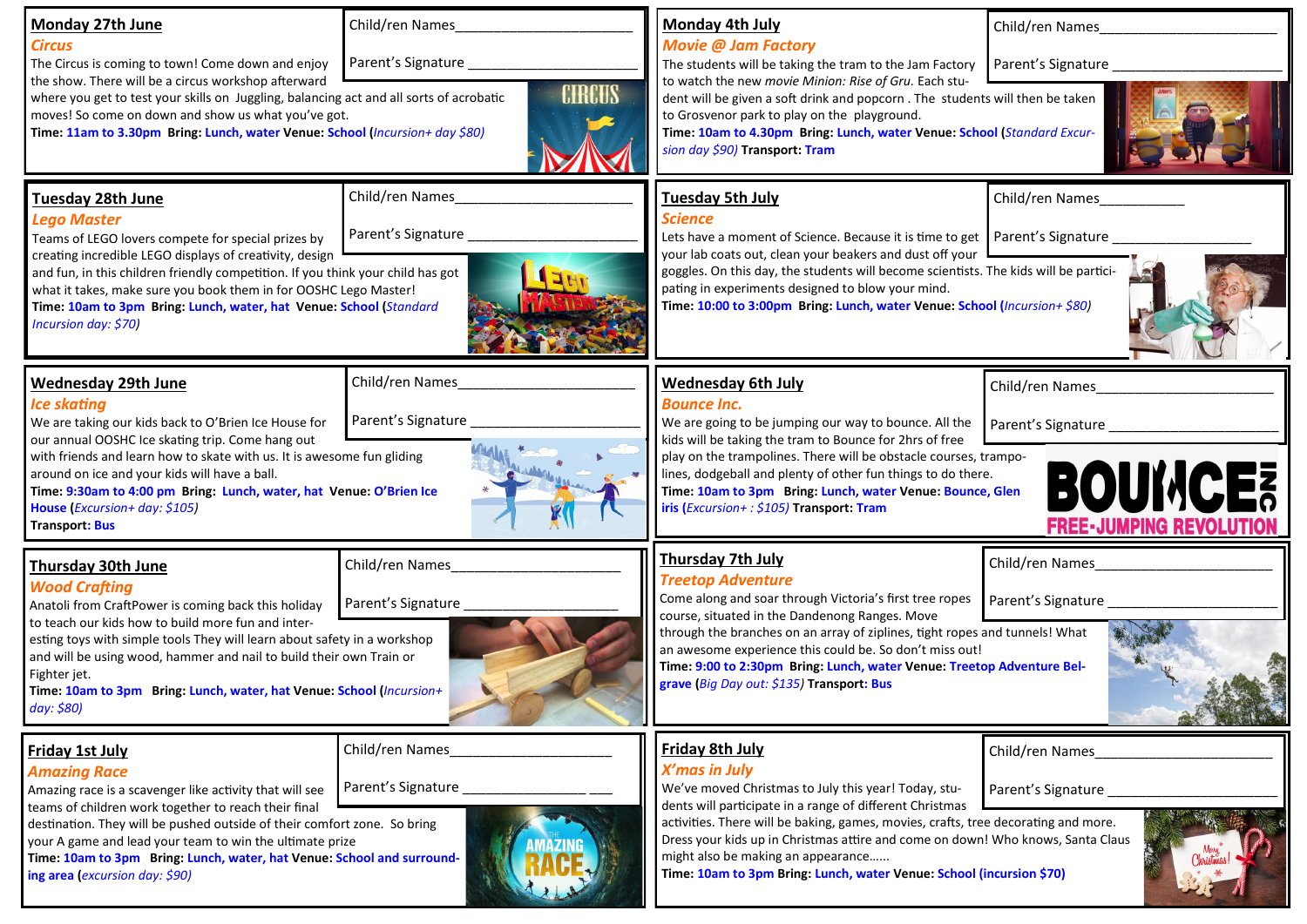| <b>Monday 27th June</b><br><b>Circus</b><br>The Circus is coming to town! Come down and enjoy<br>the show. There will be a circus workshop afterward<br>where you get to test your skills on Juggling, balancing act and all sorts of acrobatic<br>moves! So come on down and show us what you've got.<br>Time: 11am to 3.30pm Bring: Lunch, water Venue: School (Incursion+ day \$80)                                   | Child/ren Names<br>Parent's Signature<br><b>CIRCUS</b> | Monday 4th July<br><b>Movie @ Jam Factory</b><br>The students will be taking the tram to the Jam Factory<br>to watch the new movie Minion: Rise of Gru. Each stu-<br>dent will be given a soft drink and popcorn. The students will then be taken<br>to Grosvenor park to play on the playground.<br>Time: 10am to 4.30pm Bring: Lunch, water Venue: School (Standard Excur-<br>sion day \$90) Transport: Tram                                            | Child/ren Names<br>Parent's Signature                                                     |
|--------------------------------------------------------------------------------------------------------------------------------------------------------------------------------------------------------------------------------------------------------------------------------------------------------------------------------------------------------------------------------------------------------------------------|--------------------------------------------------------|-----------------------------------------------------------------------------------------------------------------------------------------------------------------------------------------------------------------------------------------------------------------------------------------------------------------------------------------------------------------------------------------------------------------------------------------------------------|-------------------------------------------------------------------------------------------|
| Tuesday 28th June<br><b>Lego Master</b><br>Teams of LEGO lovers compete for special prizes by<br>creating incredible LEGO displays of creativity, design<br>and fun, in this children friendly competition. If you think your child has got<br>what it takes, make sure you book them in for OOSHC Lego Master!<br>Time: 10am to 3pm Bring: Lunch, water, hat Venue: School (Standard<br>Incursion day: \$70)            | Child/ren Names<br>Parent's Signature                  | <b>Tuesday 5th July</b><br><b>Science</b><br>Lets have a moment of Science. Because it is time to get   Parent's Signature<br>your lab coats out, clean your beakers and dust off your<br>goggles. On this day, the students will become scientists. The kids will be partici-<br>pating in experiments designed to blow your mind.<br>Time: 10:00 to 3:00pm Bring: Lunch, water Venue: School (Incursion+ \$80)                                          | Child/ren Names                                                                           |
| <b>Wednesday 29th June</b><br><b>Ice skating</b><br>We are taking our kids back to O'Brien Ice House for<br>our annual OOSHC Ice skating trip. Come hang out<br>with friends and learn how to skate with us. It is awesome fun gliding<br>around on ice and your kids will have a ball.<br>Time: 9:30am to 4:00 pm Bring: Lunch, water, hat Venue: O'Brien Ice<br>House (Excursion+ day: \$105)<br><b>Transport: Bus</b> | Child/ren Names<br>Parent's Signature                  | <b>Wednesday 6th July</b><br><b>Bounce Inc.</b><br>We are going to be jumping our way to bounce. All the<br>kids will be taking the tram to Bounce for 2hrs of free<br>play on the trampolines. There will be obstacle courses, trampo-<br>lines, dodgeball and plenty of other fun things to do there.<br>Time: 10am to 3pm Bring: Lunch, water Venue: Bounce, Glen<br>iris (Excursion+: \$105) Transport: Tram                                          | Child/ren Names<br>Parent's Signature<br><b>BOUMCE?</b><br><b>FREE-JUMPING REVOLUTION</b> |
| <b>Thursday 30th June</b><br><b>Wood Crafting</b><br>Anatoli from CraftPower is coming back this holiday<br>to teach our kids how to build more fun and inter-<br>esting toys with simple tools They will learn about safety in a workshop<br>and will be using wood, hammer and nail to build their own Train or<br>Fighter jet.<br>Time: 10am to 3pm Bring: Lunch, water, hat Venue: School (Incursion+<br>day: \$80)  | Child/ren Names<br>Parent's Signature                  | <b>Thursday 7th July</b><br><b>Treetop Adventure</b><br>Come along and soar through Victoria's first tree ropes<br>course, situated in the Dandenong Ranges. Move<br>through the branches on an array of ziplines, tight ropes and tunnels! What<br>an awesome experience this could be. So don't miss out!<br>Time: 9:00 to 2:30pm Bring: Lunch, water Venue: Treetop Adventure Bel-<br>grave (Big Day out: \$135) Transport: Bus                        | Child/ren Names<br>Parent's Signature                                                     |
| <b>Friday 1st July</b><br><b>Amazing Race</b><br>Amazing race is a scavenger like activity that will see<br>teams of children work together to reach their final<br>destination. They will be pushed outside of their comfort zone. So bring<br>your A game and lead your team to win the ultimate prize<br>Time: 10am to 3pm Bring: Lunch, water, hat Venue: School and surround-<br>ing area (excursion day: \$90)     | Child/ren Names<br>Parent's Signature                  | <b>Friday 8th July</b><br><b>X'mas in July</b><br>We've moved Christmas to July this year! Today, stu-<br>dents will participate in a range of different Christmas<br>activities. There will be baking, games, movies, crafts, tree decorating and more.<br>Dress your kids up in Christmas attire and come on down! Who knows, Santa Claus<br>might also be making an appearance<br>Time: 10am to 3pm Bring: Lunch, water Venue: School (incursion \$70) | Child/ren Names<br>Parent's Signature                                                     |